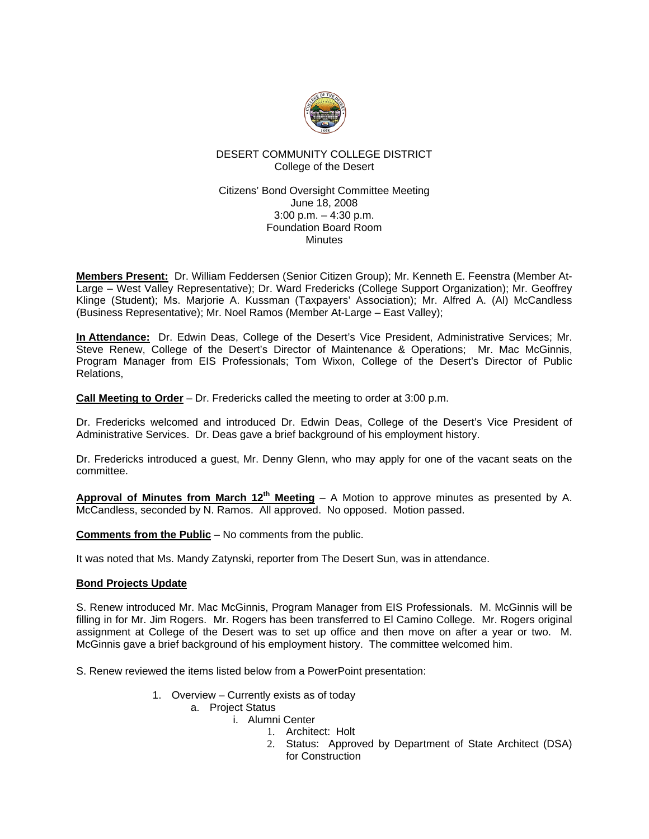

# DESERT COMMUNITY COLLEGE DISTRICT College of the Desert

# Citizens' Bond Oversight Committee Meeting June 18, 2008 3:00 p.m. – 4:30 p.m. Foundation Board Room Minutes

**Members Present:** Dr. William Feddersen (Senior Citizen Group); Mr. Kenneth E. Feenstra (Member At-Large – West Valley Representative); Dr. Ward Fredericks (College Support Organization); Mr. Geoffrey Klinge (Student); Ms. Marjorie A. Kussman (Taxpayers' Association); Mr. Alfred A. (Al) McCandless (Business Representative); Mr. Noel Ramos (Member At-Large – East Valley);

**In Attendance:** Dr. Edwin Deas, College of the Desert's Vice President, Administrative Services; Mr. Steve Renew, College of the Desert's Director of Maintenance & Operations; Mr. Mac McGinnis, Program Manager from EIS Professionals; Tom Wixon, College of the Desert's Director of Public Relations,

**Call Meeting to Order** – Dr. Fredericks called the meeting to order at 3:00 p.m.

Dr. Fredericks welcomed and introduced Dr. Edwin Deas, College of the Desert's Vice President of Administrative Services. Dr. Deas gave a brief background of his employment history.

Dr. Fredericks introduced a guest, Mr. Denny Glenn, who may apply for one of the vacant seats on the committee.

**Approval of Minutes from March 12th Meeting** – A Motion to approve minutes as presented by A. McCandless, seconded by N. Ramos. All approved. No opposed. Motion passed.

**Comments from the Public** – No comments from the public.

It was noted that Ms. Mandy Zatynski, reporter from The Desert Sun, was in attendance.

# **Bond Projects Update**

S. Renew introduced Mr. Mac McGinnis, Program Manager from EIS Professionals. M. McGinnis will be filling in for Mr. Jim Rogers. Mr. Rogers has been transferred to El Camino College. Mr. Rogers original assignment at College of the Desert was to set up office and then move on after a year or two. M. McGinnis gave a brief background of his employment history. The committee welcomed him.

S. Renew reviewed the items listed below from a PowerPoint presentation:

- 1. Overview Currently exists as of today
	- a. Project Status
		- i. Alumni Center
			- 1. Architect: Holt
			- 2. Status: Approved by Department of State Architect (DSA) for Construction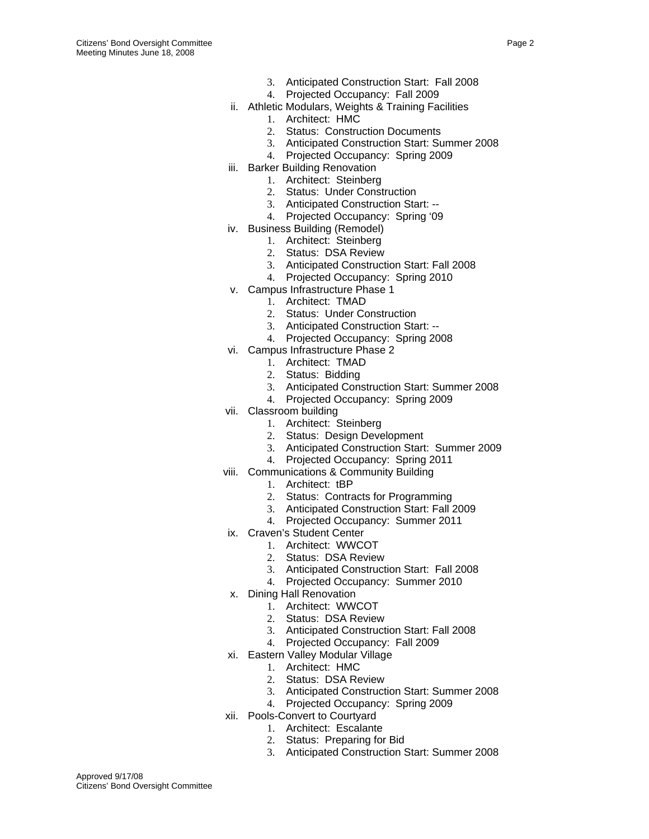- 3. Anticipated Construction Start: Fall 2008
- 4. Projected Occupancy: Fall 2009
- ii. Athletic Modulars, Weights & Training Facilities
	- 1. Architect: HMC
	- 2. Status: Construction Documents
	- 3. Anticipated Construction Start: Summer 2008
	- 4. Projected Occupancy: Spring 2009
- iii. Barker Building Renovation
	- 1. Architect: Steinberg
	- 2. Status: Under Construction
	- 3. Anticipated Construction Start: --
	- 4. Projected Occupancy: Spring '09
- iv. Business Building (Remodel)
	- 1. Architect: Steinberg
		- 2. Status: DSA Review
		- 3. Anticipated Construction Start: Fall 2008
		- 4. Projected Occupancy: Spring 2010
- v. Campus Infrastructure Phase 1
	- 1. Architect: TMAD
	- 2. Status: Under Construction
	- 3. Anticipated Construction Start: --
	- 4. Projected Occupancy: Spring 2008
- vi. Campus Infrastructure Phase 2
	- 1. Architect: TMAD
	- 2. Status: Bidding
	- 3. Anticipated Construction Start: Summer 2008
	- 4. Projected Occupancy: Spring 2009
- vii. Classroom building
	- 1. Architect: Steinberg
	- 2. Status: Design Development
	- 3. Anticipated Construction Start: Summer 2009
	- 4. Projected Occupancy: Spring 2011
- viii. Communications & Community Building
	- 1. Architect: tBP
		- 2. Status: Contracts for Programming
		- 3. Anticipated Construction Start: Fall 2009
		- 4. Projected Occupancy: Summer 2011
- ix. Craven's Student Center
	- 1. Architect: WWCOT
	- 2. Status: DSA Review
	- 3. Anticipated Construction Start: Fall 2008
	- 4. Projected Occupancy: Summer 2010
- x. Dining Hall Renovation
	- 1. Architect: WWCOT
	- 2. Status: DSA Review
	- 3. Anticipated Construction Start: Fall 2008
	- 4. Projected Occupancy: Fall 2009
- xi. Eastern Valley Modular Village
	- 1. Architect: HMC
	- 2. Status: DSA Review
	- 3. Anticipated Construction Start: Summer 2008
	- 4. Projected Occupancy: Spring 2009
- xii. Pools-Convert to Courtyard
	- 1. Architect: Escalante
	- 2. Status: Preparing for Bid
	- 3. Anticipated Construction Start: Summer 2008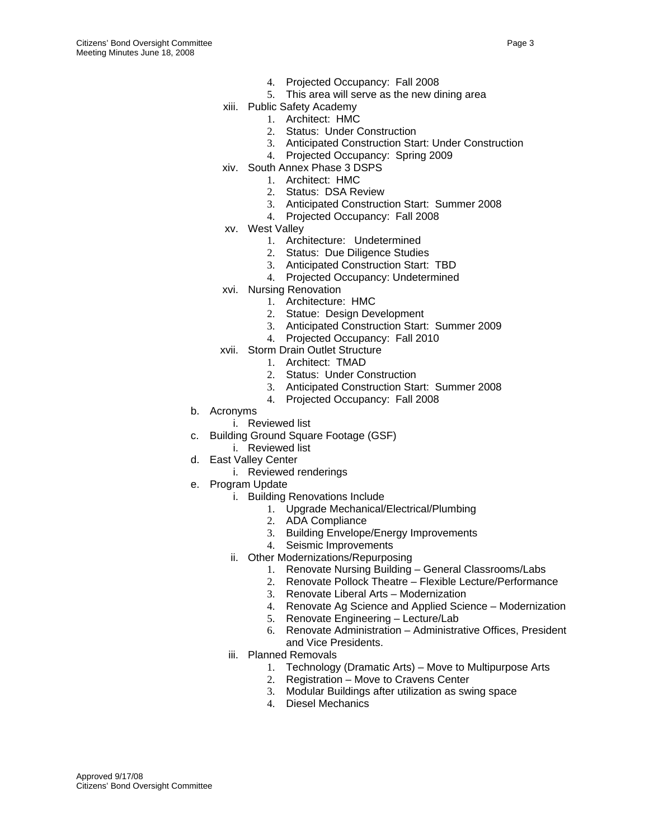- 4. Projected Occupancy: Fall 2008
- 5. This area will serve as the new dining area
- xiii. Public Safety Academy
	- 1. Architect: HMC
		- 2. Status: Under Construction
		- 3. Anticipated Construction Start: Under Construction
		- 4. Projected Occupancy: Spring 2009
- xiv. South Annex Phase 3 DSPS
	- 1. Architect: HMC
	- 2. Status: DSA Review
	- 3. Anticipated Construction Start: Summer 2008
	- 4. Projected Occupancy: Fall 2008
- xv. West Valley
	- 1. Architecture: Undetermined
	- 2. Status: Due Diligence Studies
	- 3. Anticipated Construction Start: TBD
	- 4. Projected Occupancy: Undetermined
- xvi. Nursing Renovation
	- 1. Architecture: HMC
	- 2. Statue: Design Development
	- 3. Anticipated Construction Start: Summer 2009
	- 4. Projected Occupancy: Fall 2010
- xvii. Storm Drain Outlet Structure
	- 1. Architect: TMAD
		- 2. Status: Under Construction
		- 3. Anticipated Construction Start: Summer 2008
		- 4. Projected Occupancy: Fall 2008
- b. Acronyms
	- i. Reviewed list
- c. Building Ground Square Footage (GSF)
	- i. Reviewed list
- d. East Valley Center
	- i. Reviewed renderings
- e. Program Update
	- i. Building Renovations Include
		- 1. Upgrade Mechanical/Electrical/Plumbing
		- 2. ADA Compliance
		- 3. Building Envelope/Energy Improvements
		- 4. Seismic Improvements
	- ii. Other Modernizations/Repurposing
		- 1. Renovate Nursing Building General Classrooms/Labs
		- 2. Renovate Pollock Theatre Flexible Lecture/Performance
		- 3. Renovate Liberal Arts Modernization
		- 4. Renovate Ag Science and Applied Science Modernization
		- 5. Renovate Engineering Lecture/Lab
		- 6. Renovate Administration Administrative Offices, President and Vice Presidents.
	- iii. Planned Removals
		- 1. Technology (Dramatic Arts) Move to Multipurpose Arts
		- 2. Registration Move to Cravens Center
		- 3. Modular Buildings after utilization as swing space
		- 4. Diesel Mechanics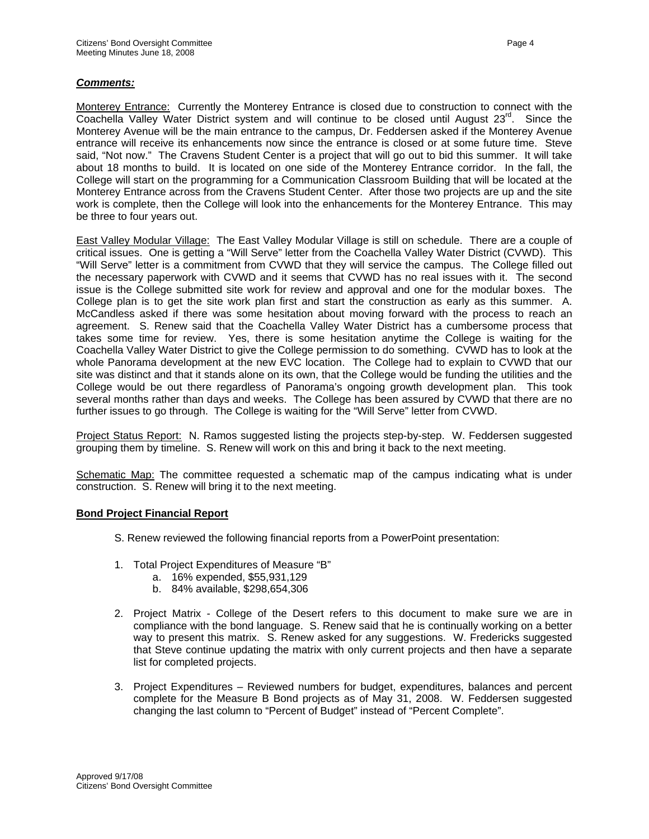# *Comments:*

Monterey Entrance: Currently the Monterey Entrance is closed due to construction to connect with the Coachella Valley Water District system and will continue to be closed until August  $23^{\text{rd}}$ . Since the Monterey Avenue will be the main entrance to the campus, Dr. Feddersen asked if the Monterey Avenue entrance will receive its enhancements now since the entrance is closed or at some future time. Steve said, "Not now." The Cravens Student Center is a project that will go out to bid this summer. It will take about 18 months to build. It is located on one side of the Monterey Entrance corridor. In the fall, the College will start on the programming for a Communication Classroom Building that will be located at the Monterey Entrance across from the Cravens Student Center. After those two projects are up and the site work is complete, then the College will look into the enhancements for the Monterey Entrance. This may be three to four years out.

East Valley Modular Village: The East Valley Modular Village is still on schedule. There are a couple of critical issues. One is getting a "Will Serve" letter from the Coachella Valley Water District (CVWD). This "Will Serve" letter is a commitment from CVWD that they will service the campus. The College filled out the necessary paperwork with CVWD and it seems that CVWD has no real issues with it. The second issue is the College submitted site work for review and approval and one for the modular boxes. The College plan is to get the site work plan first and start the construction as early as this summer. A. McCandless asked if there was some hesitation about moving forward with the process to reach an agreement. S. Renew said that the Coachella Valley Water District has a cumbersome process that takes some time for review. Yes, there is some hesitation anytime the College is waiting for the Coachella Valley Water District to give the College permission to do something. CVWD has to look at the whole Panorama development at the new EVC location. The College had to explain to CVWD that our site was distinct and that it stands alone on its own, that the College would be funding the utilities and the College would be out there regardless of Panorama's ongoing growth development plan. This took several months rather than days and weeks. The College has been assured by CVWD that there are no further issues to go through. The College is waiting for the "Will Serve" letter from CVWD.

Project Status Report: N. Ramos suggested listing the projects step-by-step. W. Feddersen suggested grouping them by timeline. S. Renew will work on this and bring it back to the next meeting.

Schematic Map: The committee requested a schematic map of the campus indicating what is under construction. S. Renew will bring it to the next meeting.

### **Bond Project Financial Report**

- S. Renew reviewed the following financial reports from a PowerPoint presentation:
- 1. Total Project Expenditures of Measure "B"
	- a. 16% expended, \$55,931,129
	- b. 84% available, \$298,654,306
- 2. Project Matrix College of the Desert refers to this document to make sure we are in compliance with the bond language. S. Renew said that he is continually working on a better way to present this matrix. S. Renew asked for any suggestions. W. Fredericks suggested that Steve continue updating the matrix with only current projects and then have a separate list for completed projects.
- 3. Project Expenditures Reviewed numbers for budget, expenditures, balances and percent complete for the Measure B Bond projects as of May 31, 2008. W. Feddersen suggested changing the last column to "Percent of Budget" instead of "Percent Complete".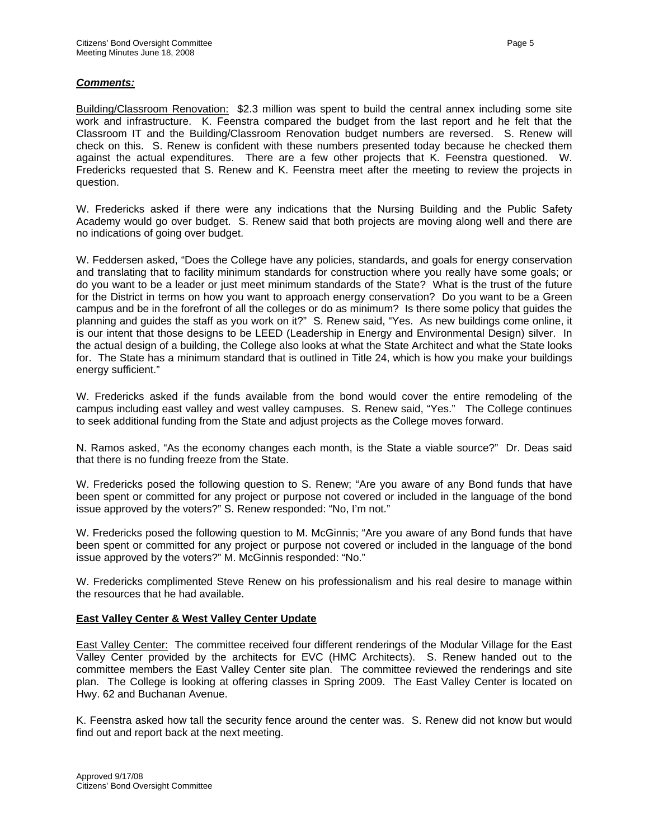# *Comments:*

Building/Classroom Renovation: \$2.3 million was spent to build the central annex including some site work and infrastructure. K. Feenstra compared the budget from the last report and he felt that the Classroom IT and the Building/Classroom Renovation budget numbers are reversed. S. Renew will check on this. S. Renew is confident with these numbers presented today because he checked them against the actual expenditures. There are a few other projects that K. Feenstra questioned. W. Fredericks requested that S. Renew and K. Feenstra meet after the meeting to review the projects in question.

W. Fredericks asked if there were any indications that the Nursing Building and the Public Safety Academy would go over budget. S. Renew said that both projects are moving along well and there are no indications of going over budget.

W. Feddersen asked, "Does the College have any policies, standards, and goals for energy conservation and translating that to facility minimum standards for construction where you really have some goals; or do you want to be a leader or just meet minimum standards of the State? What is the trust of the future for the District in terms on how you want to approach energy conservation? Do you want to be a Green campus and be in the forefront of all the colleges or do as minimum? Is there some policy that guides the planning and guides the staff as you work on it?" S. Renew said, "Yes. As new buildings come online, it is our intent that those designs to be LEED (Leadership in Energy and Environmental Design) silver. In the actual design of a building, the College also looks at what the State Architect and what the State looks for. The State has a minimum standard that is outlined in Title 24, which is how you make your buildings energy sufficient."

W. Fredericks asked if the funds available from the bond would cover the entire remodeling of the campus including east valley and west valley campuses. S. Renew said, "Yes." The College continues to seek additional funding from the State and adjust projects as the College moves forward.

N. Ramos asked, "As the economy changes each month, is the State a viable source?" Dr. Deas said that there is no funding freeze from the State.

W. Fredericks posed the following question to S. Renew; "Are you aware of any Bond funds that have been spent or committed for any project or purpose not covered or included in the language of the bond issue approved by the voters?" S. Renew responded: "No, I'm not."

W. Fredericks posed the following question to M. McGinnis; "Are you aware of any Bond funds that have been spent or committed for any project or purpose not covered or included in the language of the bond issue approved by the voters?" M. McGinnis responded: "No."

W. Fredericks complimented Steve Renew on his professionalism and his real desire to manage within the resources that he had available.

### **East Valley Center & West Valley Center Update**

East Valley Center: The committee received four different renderings of the Modular Village for the East Valley Center provided by the architects for EVC (HMC Architects). S. Renew handed out to the committee members the East Valley Center site plan. The committee reviewed the renderings and site plan. The College is looking at offering classes in Spring 2009. The East Valley Center is located on Hwy. 62 and Buchanan Avenue.

K. Feenstra asked how tall the security fence around the center was. S. Renew did not know but would find out and report back at the next meeting.